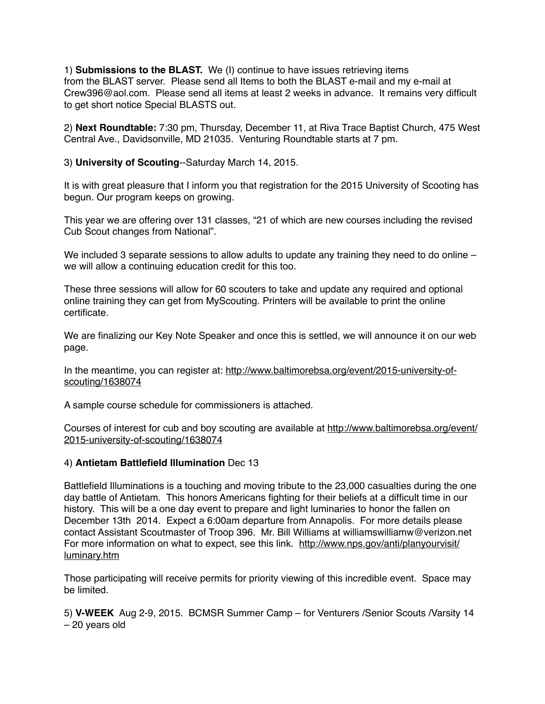1) **Submissions to the BLAST.** We (I) continue to have issues retrieving items from the BLAST server. Please send all Items to both the BLAST e-mail and my e-mail at Crew396@aol.com. Please send all items at least 2 weeks in advance. It remains very difficult to get short notice Special BLASTS out.

2) **Next Roundtable:** 7:30 pm, Thursday, December 11, at Riva Trace Baptist Church, 475 West Central Ave., Davidsonville, MD 21035. Venturing Roundtable starts at 7 pm.

3) **University of Scouting**--Saturday March 14, 2015.

It is with great pleasure that I inform you that registration for the 2015 University of Scooting has begun. Our program keeps on growing.

This year we are offering over 131 classes, "21 of which are new courses including the revised Cub Scout changes from National".

We included 3 separate sessions to allow adults to update any training they need to do online – we will allow a continuing education credit for this too.

These three sessions will allow for 60 scouters to take and update any required and optional online training they can get from MyScouting. Printers will be available to print the online certificate.

We are finalizing our Key Note Speaker and once this is settled, we will announce it on our web page.

[In the meantime, you can register at: http://www.baltimorebsa.org/event/2015-university-of](http://www.baltimorebsa.org/event/2015-university-of-scouting/1638074)scouting/1638074

A sample course schedule for commissioners is attached.

[Courses of interest for cub and boy scouting are available at http://www.baltimorebsa.org/event/](http://www.baltimorebsa.org/event/2015-university-of-scouting/1638074) 2015-university-of-scouting/1638074

#### 4) **Antietam Battlefield Illumination** Dec 13

Battlefield Illuminations is a touching and moving tribute to the 23,000 casualties during the one day battle of Antietam. This honors Americans fighting for their beliefs at a difficult time in our history. This will be a one day event to prepare and light luminaries to honor the fallen on December 13th 2014. Expect a 6:00am departure from Annapolis. For more details please contact Assistant Scoutmaster of Troop 396. Mr. Bill Williams at williamswilliamw@verizon.net [For more information on what to expect, see this link. http://www.nps.gov/anti/planyourvisit/](http://www.nps.gov/anti/planyourvisit/luminary.htm) luminary.htm

Those participating will receive permits for priority viewing of this incredible event. Space may be limited.

5) **V-WEEK** Aug 2-9, 2015. BCMSR Summer Camp – for Venturers /Senior Scouts /Varsity 14 – 20 years old